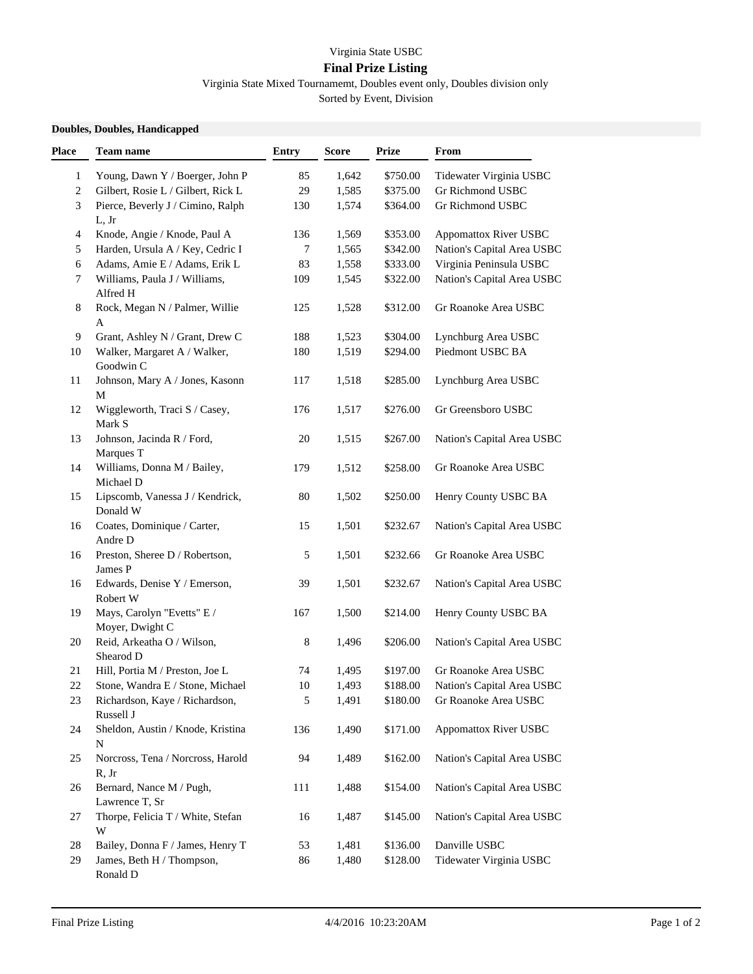## Virginia State USBC

## **Final Prize Listing**

Virginia State Mixed Tournamemt, Doubles event only, Doubles division only Sorted by Event, Division

**Doubles, Doubles, Handicapped**

| Place | <b>Team name</b>                                 | <b>Entry</b> | <b>Score</b> | <b>Prize</b> | From                         |
|-------|--------------------------------------------------|--------------|--------------|--------------|------------------------------|
| 1     | Young, Dawn Y / Boerger, John P                  | 85           | 1,642        | \$750.00     | Tidewater Virginia USBC      |
| 2     | Gilbert, Rosie L / Gilbert, Rick L               | 29           | 1,585        | \$375.00     | Gr Richmond USBC             |
| 3     | Pierce, Beverly J / Cimino, Ralph<br>L, Jr       | 130          | 1,574        | \$364.00     | Gr Richmond USBC             |
| 4     | Knode, Angie / Knode, Paul A                     | 136          | 1,569        | \$353.00     | <b>Appomattox River USBC</b> |
| 5     | Harden, Ursula A / Key, Cedric I                 | $\tau$       | 1,565        | \$342.00     | Nation's Capital Area USBC   |
| 6     | Adams, Amie E / Adams, Erik L                    | 83           | 1,558        | \$333.00     | Virginia Peninsula USBC      |
| 7     | Williams, Paula J / Williams,<br>Alfred H        | 109          | 1,545        | \$322.00     | Nation's Capital Area USBC   |
| 8     | Rock, Megan N / Palmer, Willie<br>$\mathbf A$    | 125          | 1,528        | \$312.00     | Gr Roanoke Area USBC         |
| 9     | Grant, Ashley N / Grant, Drew C                  | 188          | 1,523        | \$304.00     | Lynchburg Area USBC          |
| 10    | Walker, Margaret A / Walker,<br>Goodwin C        | 180          | 1,519        | \$294.00     | Piedmont USBC BA             |
| 11    | Johnson, Mary A / Jones, Kasonn<br>M             | 117          | 1,518        | \$285.00     | Lynchburg Area USBC          |
| 12    | Wiggleworth, Traci S / Casey,<br>Mark S          | 176          | 1,517        | \$276.00     | Gr Greensboro USBC           |
| 13    | Johnson, Jacinda R / Ford,<br>Marques T          | 20           | 1,515        | \$267.00     | Nation's Capital Area USBC   |
| 14    | Williams, Donna M / Bailey,<br>Michael D         | 179          | 1,512        | \$258.00     | Gr Roanoke Area USBC         |
| 15    | Lipscomb, Vanessa J / Kendrick,<br>Donald W      | 80           | 1,502        | \$250.00     | Henry County USBC BA         |
| 16    | Coates, Dominique / Carter,<br>Andre D           | 15           | 1,501        | \$232.67     | Nation's Capital Area USBC   |
| 16    | Preston, Sheree D / Robertson,<br>James P        | 5            | 1,501        | \$232.66     | Gr Roanoke Area USBC         |
| 16    | Edwards, Denise Y / Emerson,<br>Robert W         | 39           | 1,501        | \$232.67     | Nation's Capital Area USBC   |
| 19    | Mays, Carolyn "Evetts" E /<br>Moyer, Dwight C    | 167          | 1,500        | \$214.00     | Henry County USBC BA         |
| 20    | Reid, Arkeatha O / Wilson,<br>Shearod D          | 8            | 1,496        | \$206.00     | Nation's Capital Area USBC   |
| 21    | Hill, Portia M / Preston, Joe L                  | 74           | 1,495        | \$197.00     | Gr Roanoke Area USBC         |
| 22    | Stone, Wandra E / Stone, Michael                 | 10           | 1,493        | \$188.00     | Nation's Capital Area USBC   |
| 23    | Richardson, Kaye / Richardson,<br>Russell J      | 5            | 1,491        | \$180.00     | Gr Roanoke Area USBC         |
| 24    | Sheldon, Austin / Knode, Kristina<br>${\bf N}$   | 136          | 1,490        | \$171.00     | <b>Appomattox River USBC</b> |
| 25    | Norcross, Tena / Norcross, Harold<br>R, Jr       | 94           | 1,489        | \$162.00     | Nation's Capital Area USBC   |
| 26    | Bernard, Nance M / Pugh,<br>Lawrence T, Sr       | 111          | 1,488        | \$154.00     | Nation's Capital Area USBC   |
| 27    | Thorpe, Felicia T / White, Stefan<br>$\mathbf W$ | 16           | 1,487        | \$145.00     | Nation's Capital Area USBC   |
| 28    | Bailey, Donna F / James, Henry T                 | 53           | 1,481        | \$136.00     | Danville USBC                |
| 29    | James, Beth H / Thompson,<br>Ronald D            | 86           | 1,480        | \$128.00     | Tidewater Virginia USBC      |